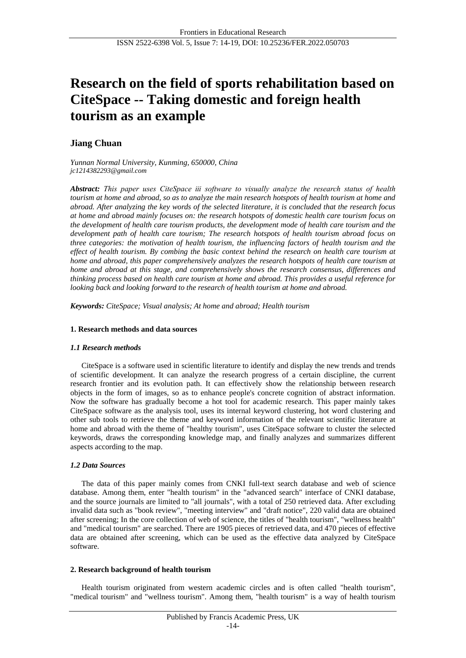# **Research on the field of sports rehabilitation based on CiteSpace -- Taking domestic and foreign health tourism as an example**

# **Jiang Chuan**

*Yunnan Normal University, Kunming, 650000, China [jc1214382293@gmail.com](mailto:jc1214382293@gmail.com)*

*Abstract: This paper uses CiteSpace ⅲ software to visually analyze the research status of health tourism at home and abroad, so as to analyze the main research hotspots of health tourism at home and abroad. After analyzing the key words of the selected literature, it is concluded that the research focus at home and abroad mainly focuses on: the research hotspots of domestic health care tourism focus on the development of health care tourism products, the development mode of health care tourism and the development path of health care tourism; The research hotspots of health tourism abroad focus on three categories: the motivation of health tourism, the influencing factors of health tourism and the effect of health tourism. By combing the basic context behind the research on health care tourism at home and abroad, this paper comprehensively analyzes the research hotspots of health care tourism at home and abroad at this stage, and comprehensively shows the research consensus, differences and thinking process based on health care tourism at home and abroad. This provides a useful reference for looking back and looking forward to the research of health tourism at home and abroad.*

*Keywords: CiteSpace; Visual analysis; At home and abroad; Health tourism*

# **1. Research methods and data sources**

## *1.1 Research methods*

CiteSpace is a software used in scientific literature to identify and display the new trends and trends of scientific development. It can analyze the research progress of a certain discipline, the current research frontier and its evolution path. It can effectively show the relationship between research objects in the form of images, so as to enhance people's concrete cognition of abstract information. Now the software has gradually become a hot tool for academic research. This paper mainly takes CiteSpace software as the analysis tool, uses its internal keyword clustering, hot word clustering and other sub tools to retrieve the theme and keyword information of the relevant scientific literature at home and abroad with the theme of "healthy tourism", uses CiteSpace software to cluster the selected keywords, draws the corresponding knowledge map, and finally analyzes and summarizes different aspects according to the map.

# *1.2 Data Sources*

The data of this paper mainly comes from CNKI full-text search database and web of science database. Among them, enter "health tourism" in the "advanced search" interface of CNKI database, and the source journals are limited to "all journals", with a total of 250 retrieved data. After excluding invalid data such as "book review", "meeting interview" and "draft notice", 220 valid data are obtained after screening; In the core collection of web of science, the titles of "health tourism", "wellness health" and "medical tourism" are searched. There are 1905 pieces of retrieved data, and 470 pieces of effective data are obtained after screening, which can be used as the effective data analyzed by CiteSpace software.

## **2. Research background of health tourism**

Health tourism originated from western academic circles and is often called "health tourism", "medical tourism" and "wellness tourism". Among them, "health tourism" is a way of health tourism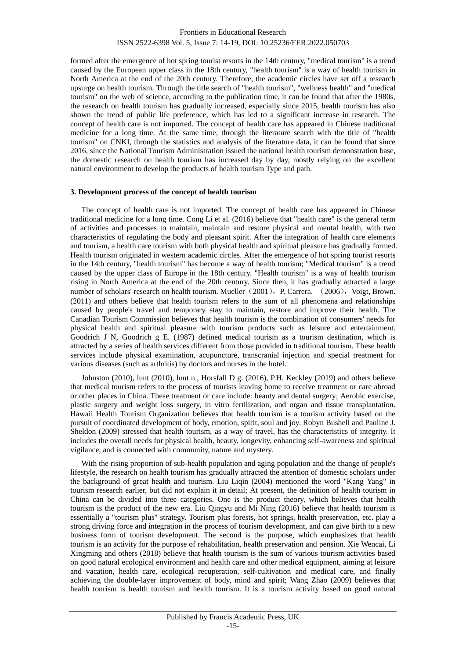formed after the emergence of hot spring tourist resorts in the 14th century, "medical tourism" is a trend caused by the European upper class in the 18th century, "health tourism" is a way of health tourism in North America at the end of the 20th century. Therefore, the academic circles have set off a research upsurge on health tourism. Through the title search of "health tourism", "wellness health" and "medical tourism" on the web of science, according to the publication time, it can be found that after the 1980s, the research on health tourism has gradually increased, especially since 2015, health tourism has also shown the trend of public life preference, which has led to a significant increase in research. The concept of health care is not imported. The concept of health care has appeared in Chinese traditional medicine for a long time. At the same time, through the literature search with the title of "health tourism" on CNKI, through the statistics and analysis of the literature data, it can be found that since 2016, since the National Tourism Administration issued the national health tourism demonstration base, the domestic research on health tourism has increased day by day, mostly relying on the excellent natural environment to develop the products of health tourism Type and path.

#### **3. Development process of the concept of health tourism**

The concept of health care is not imported. The concept of health care has appeared in Chinese traditional medicine for a long time. Cong Li et al. (2016) believe that "health care" is the general term of activities and processes to maintain, maintain and restore physical and mental health, with two characteristics of regulating the body and pleasant spirit. After the integration of health care elements and tourism, a health care tourism with both physical health and spiritual pleasure has gradually formed. Health tourism originated in western academic circles. After the emergence of hot spring tourist resorts in the 14th century, "health tourism" has become a way of health tourism; "Medical tourism" is a trend caused by the upper class of Europe in the 18th century. "Health tourism" is a way of health tourism rising in North America at the end of the 20th century. Since then, it has gradually attracted a large number of scholars' research on health tourism. Mueller (2001), P. Carrera. (2006), Voigt, Brown. (2011) and others believe that health tourism refers to the sum of all phenomena and relationships caused by people's travel and temporary stay to maintain, restore and improve their health. The Canadian Tourism Commission believes that health tourism is the combination of consumers' needs for physical health and spiritual pleasure with tourism products such as leisure and entertainment. Goodrich J N, Goodrich g E. (1987) defined medical tourism as a tourism destination, which is attracted by a series of health services different from those provided in traditional tourism. These health services include physical examination, acupuncture, transcranial injection and special treatment for various diseases (such as arthritis) by doctors and nurses in the hotel.

Johnston (2010), lunt (2010), lunt n., Horsfall D g. (2016), P.H. Keckley (2019) and others believe that medical tourism refers to the process of tourists leaving home to receive treatment or care abroad or other places in China. These treatment or care include: beauty and dental surgery; Aerobic exercise, plastic surgery and weight loss surgery, in vitro fertilization, and organ and tissue transplantation. Hawaii Health Tourism Organization believes that health tourism is a tourism activity based on the pursuit of coordinated development of body, emotion, spirit, soul and joy. Robyn Bushell and Pauline J. Sheldon (2009) stressed that health tourism, as a way of travel, has the characteristics of integrity. It includes the overall needs for physical health, beauty, longevity, enhancing self-awareness and spiritual vigilance, and is connected with community, nature and mystery.

With the rising proportion of sub-health population and aging population and the change of people's lifestyle, the research on health tourism has gradually attracted the attention of domestic scholars under the background of great health and tourism. Liu Liqin (2004) mentioned the word "Kang Yang" in tourism research earlier, but did not explain it in detail; At present, the definition of health tourism in China can be divided into three categories. One is the product theory, which believes that health tourism is the product of the new era. Liu Qingyu and Mi Ning (2016) believe that health tourism is essentially a "tourism plus" strategy. Tourism plus forests, hot springs, health preservation, etc. play a strong driving force and integration in the process of tourism development, and can give birth to a new business form of tourism development. The second is the purpose, which emphasizes that health tourism is an activity for the purpose of rehabilitation, health preservation and pension. Xie Wencai, Li Xingming and others (2018) believe that health tourism is the sum of various tourism activities based on good natural ecological environment and health care and other medical equipment, aiming at leisure and vacation, health care, ecological recuperation, self-cultivation and medical care, and finally achieving the double-layer improvement of body, mind and spirit; Wang Zhao (2009) believes that health tourism is health tourism and health tourism. It is a tourism activity based on good natural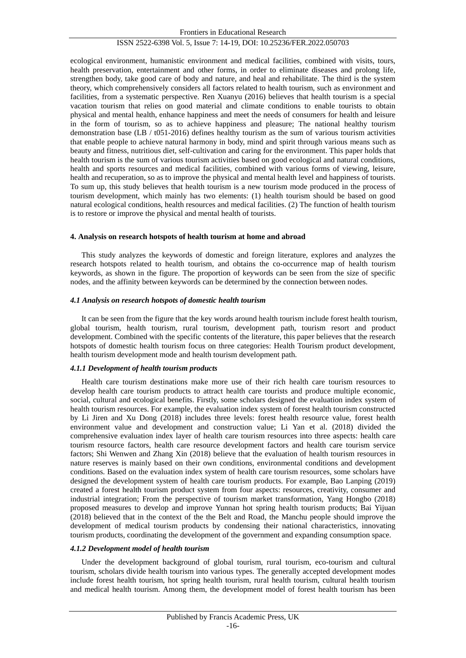ecological environment, humanistic environment and medical facilities, combined with visits, tours, health preservation, entertainment and other forms, in order to eliminate diseases and prolong life, strengthen body, take good care of body and nature, and heal and rehabilitate. The third is the system theory, which comprehensively considers all factors related to health tourism, such as environment and facilities, from a systematic perspective. Ren Xuanyu (2016) believes that health tourism is a special vacation tourism that relies on good material and climate conditions to enable tourists to obtain physical and mental health, enhance happiness and meet the needs of consumers for health and leisure in the form of tourism, so as to achieve happiness and pleasure; The national healthy tourism demonstration base (LB / t051-2016) defines healthy tourism as the sum of various tourism activities that enable people to achieve natural harmony in body, mind and spirit through various means such as beauty and fitness, nutritious diet, self-cultivation and caring for the environment. This paper holds that health tourism is the sum of various tourism activities based on good ecological and natural conditions, health and sports resources and medical facilities, combined with various forms of viewing, leisure, health and recuperation, so as to improve the physical and mental health level and happiness of tourists. To sum up, this study believes that health tourism is a new tourism mode produced in the process of tourism development, which mainly has two elements: (1) health tourism should be based on good natural ecological conditions, health resources and medical facilities. (2) The function of health tourism is to restore or improve the physical and mental health of tourists.

#### **4. Analysis on research hotspots of health tourism at home and abroad**

This study analyzes the keywords of domestic and foreign literature, explores and analyzes the research hotspots related to health tourism, and obtains the co-occurrence map of health tourism keywords, as shown in the figure. The proportion of keywords can be seen from the size of specific nodes, and the affinity between keywords can be determined by the connection between nodes.

#### *4.1 Analysis on research hotspots of domestic health tourism*

It can be seen from the figure that the key words around health tourism include forest health tourism, global tourism, health tourism, rural tourism, development path, tourism resort and product development. Combined with the specific contents of the literature, this paper believes that the research hotspots of domestic health tourism focus on three categories: Health Tourism product development, health tourism development mode and health tourism development path.

#### *4.1.1 Development of health tourism products*

Health care tourism destinations make more use of their rich health care tourism resources to develop health care tourism products to attract health care tourists and produce multiple economic, social, cultural and ecological benefits. Firstly, some scholars designed the evaluation index system of health tourism resources. For example, the evaluation index system of forest health tourism constructed by Li Jiren and Xu Dong (2018) includes three levels: forest health resource value, forest health environment value and development and construction value; Li Yan et al. (2018) divided the comprehensive evaluation index layer of health care tourism resources into three aspects: health care tourism resource factors, health care resource development factors and health care tourism service factors; Shi Wenwen and Zhang Xin (2018) believe that the evaluation of health tourism resources in nature reserves is mainly based on their own conditions, environmental conditions and development conditions. Based on the evaluation index system of health care tourism resources, some scholars have designed the development system of health care tourism products. For example, Bao Lanping (2019) created a forest health tourism product system from four aspects: resources, creativity, consumer and industrial integration; From the perspective of tourism market transformation, Yang Hongbo (2018) proposed measures to develop and improve Yunnan hot spring health tourism products; Bai Yijuan (2018) believed that in the context of the the Belt and Road, the Manchu people should improve the development of medical tourism products by condensing their national characteristics, innovating tourism products, coordinating the development of the government and expanding consumption space.

## *4.1.2 Development model of health tourism*

Under the development background of global tourism, rural tourism, eco-tourism and cultural tourism, scholars divide health tourism into various types. The generally accepted development modes include forest health tourism, hot spring health tourism, rural health tourism, cultural health tourism and medical health tourism. Among them, the development model of forest health tourism has been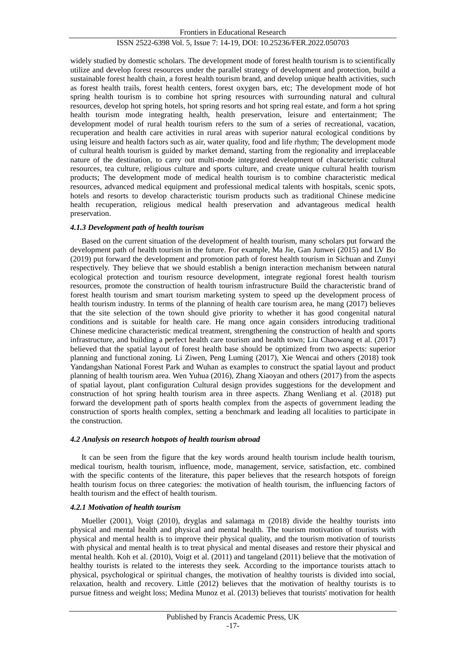widely studied by domestic scholars. The development mode of forest health tourism is to scientifically utilize and develop forest resources under the parallel strategy of development and protection, build a sustainable forest health chain, a forest health tourism brand, and develop unique health activities, such as forest health trails, forest health centers, forest oxygen bars, etc; The development mode of hot spring health tourism is to combine hot spring resources with surrounding natural and cultural resources, develop hot spring hotels, hot spring resorts and hot spring real estate, and form a hot spring health tourism mode integrating health, health preservation, leisure and entertainment; The development model of rural health tourism refers to the sum of a series of recreational, vacation, recuperation and health care activities in rural areas with superior natural ecological conditions by using leisure and health factors such as air, water quality, food and life rhythm; The development mode of cultural health tourism is guided by market demand, starting from the regionality and irreplaceable nature of the destination, to carry out multi-mode integrated development of characteristic cultural resources, tea culture, religious culture and sports culture, and create unique cultural health tourism products; The development mode of medical health tourism is to combine characteristic medical resources, advanced medical equipment and professional medical talents with hospitals, scenic spots, hotels and resorts to develop characteristic tourism products such as traditional Chinese medicine health recuperation, religious medical health preservation and advantageous medical health preservation.

#### *4.1.3 Development path of health tourism*

Based on the current situation of the development of health tourism, many scholars put forward the development path of health tourism in the future. For example, Ma Jie, Gan Junwei (2015) and LV Bo (2019) put forward the development and promotion path of forest health tourism in Sichuan and Zunyi respectively. They believe that we should establish a benign interaction mechanism between natural ecological protection and tourism resource development, integrate regional forest health tourism resources, promote the construction of health tourism infrastructure Build the characteristic brand of forest health tourism and smart tourism marketing system to speed up the development process of health tourism industry. In terms of the planning of health care tourism area, he mang (2017) believes that the site selection of the town should give priority to whether it has good congenital natural conditions and is suitable for health care. He mang once again considers introducing traditional Chinese medicine characteristic medical treatment, strengthening the construction of health and sports infrastructure, and building a perfect health care tourism and health town; Liu Chaowang et al. (2017) believed that the spatial layout of forest health base should be optimized from two aspects: superior planning and functional zoning. Li Ziwen, Peng Luming (2017), Xie Wencai and others (2018) took Yandangshan National Forest Park and Wuhan as examples to construct the spatial layout and product planning of health tourism area. Wen Yuhua (2016), Zhang Xiaoyan and others (2017) from the aspects of spatial layout, plant configuration Cultural design provides suggestions for the development and construction of hot spring health tourism area in three aspects. Zhang Wenliang et al. (2018) put forward the development path of sports health complex from the aspects of government leading the construction of sports health complex, setting a benchmark and leading all localities to participate in the construction.

#### *4.2 Analysis on research hotspots of health tourism abroad*

It can be seen from the figure that the key words around health tourism include health tourism, medical tourism, health tourism, influence, mode, management, service, satisfaction, etc. combined with the specific contents of the literature, this paper believes that the research hotspots of foreign health tourism focus on three categories: the motivation of health tourism, the influencing factors of health tourism and the effect of health tourism.

#### *4.2.1 Motivation of health tourism*

Mueller (2001), Voigt (2010), dryglas and salamaga m (2018) divide the healthy tourists into physical and mental health and physical and mental health. The tourism motivation of tourists with physical and mental health is to improve their physical quality, and the tourism motivation of tourists with physical and mental health is to treat physical and mental diseases and restore their physical and mental health. Koh et al. (2010), Voigt et al. (2011) and tangeland (2011) believe that the motivation of healthy tourists is related to the interests they seek. According to the importance tourists attach to physical, psychological or spiritual changes, the motivation of healthy tourists is divided into social, relaxation, health and recovery. Little (2012) believes that the motivation of healthy tourists is to pursue fitness and weight loss; Medina Munoz et al. (2013) believes that tourists' motivation for health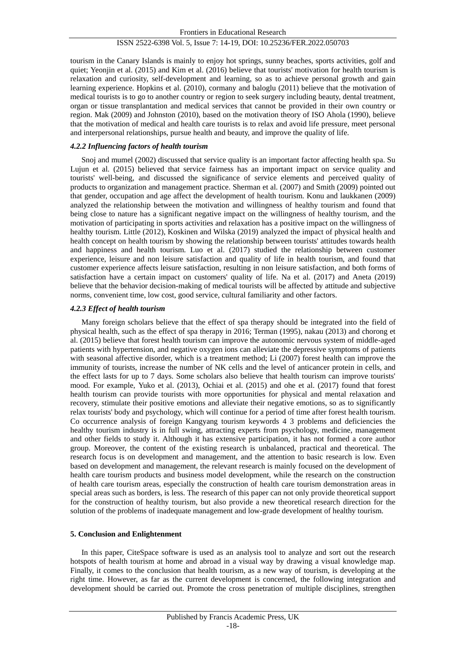tourism in the Canary Islands is mainly to enjoy hot springs, sunny beaches, sports activities, golf and quiet; Yeonjin et al. (2015) and Kim et al. (2016) believe that tourists' motivation for health tourism is relaxation and curiosity, self-development and learning, so as to achieve personal growth and gain learning experience. Hopkins et al. (2010), cormany and baloglu (2011) believe that the motivation of medical tourists is to go to another country or region to seek surgery including beauty, dental treatment, organ or tissue transplantation and medical services that cannot be provided in their own country or region. Mak (2009) and Johnston (2010), based on the motivation theory of ISO Ahola (1990), believe that the motivation of medical and health care tourists is to relax and avoid life pressure, meet personal and interpersonal relationships, pursue health and beauty, and improve the quality of life.

## *4.2.2 Influencing factors of health tourism*

Snoj and mumel (2002) discussed that service quality is an important factor affecting health spa. Su Lujun et al. (2015) believed that service fairness has an important impact on service quality and tourists' well-being, and discussed the significance of service elements and perceived quality of products to organization and management practice. Sherman et al. (2007) and Smith (2009) pointed out that gender, occupation and age affect the development of health tourism. Konu and laukkanen (2009) analyzed the relationship between the motivation and willingness of healthy tourism and found that being close to nature has a significant negative impact on the willingness of healthy tourism, and the motivation of participating in sports activities and relaxation has a positive impact on the willingness of healthy tourism. Little (2012), Koskinen and Wilska (2019) analyzed the impact of physical health and health concept on health tourism by showing the relationship between tourists' attitudes towards health and happiness and health tourism. Luo et al. (2017) studied the relationship between customer experience, leisure and non leisure satisfaction and quality of life in health tourism, and found that customer experience affects leisure satisfaction, resulting in non leisure satisfaction, and both forms of satisfaction have a certain impact on customers' quality of life. Na et al. (2017) and Aneta (2019) believe that the behavior decision-making of medical tourists will be affected by attitude and subjective norms, convenient time, low cost, good service, cultural familiarity and other factors.

## *4.2.3 Effect of health tourism*

Many foreign scholars believe that the effect of spa therapy should be integrated into the field of physical health, such as the effect of spa therapy in 2016; Terman (1995), nakau (2013) and chorong et al. (2015) believe that forest health tourism can improve the autonomic nervous system of middle-aged patients with hypertension, and negative oxygen ions can alleviate the depressive symptoms of patients with seasonal affective disorder, which is a treatment method; Li (2007) forest health can improve the immunity of tourists, increase the number of NK cells and the level of anticancer protein in cells, and the effect lasts for up to 7 days. Some scholars also believe that health tourism can improve tourists' mood. For example, Yuko et al. (2013), Ochiai et al. (2015) and ohe et al. (2017) found that forest health tourism can provide tourists with more opportunities for physical and mental relaxation and recovery, stimulate their positive emotions and alleviate their negative emotions, so as to significantly relax tourists' body and psychology, which will continue for a period of time after forest health tourism. Co occurrence analysis of foreign Kangyang tourism keywords 4 3 problems and deficiencies the healthy tourism industry is in full swing, attracting experts from psychology, medicine, management and other fields to study it. Although it has extensive participation, it has not formed a core author group. Moreover, the content of the existing research is unbalanced, practical and theoretical. The research focus is on development and management, and the attention to basic research is low. Even based on development and management, the relevant research is mainly focused on the development of health care tourism products and business model development, while the research on the construction of health care tourism areas, especially the construction of health care tourism demonstration areas in special areas such as borders, is less. The research of this paper can not only provide theoretical support for the construction of healthy tourism, but also provide a new theoretical research direction for the solution of the problems of inadequate management and low-grade development of healthy tourism.

## **5. Conclusion and Enlightenment**

In this paper, CiteSpace software is used as an analysis tool to analyze and sort out the research hotspots of health tourism at home and abroad in a visual way by drawing a visual knowledge map. Finally, it comes to the conclusion that health tourism, as a new way of tourism, is developing at the right time. However, as far as the current development is concerned, the following integration and development should be carried out. Promote the cross penetration of multiple disciplines, strengthen